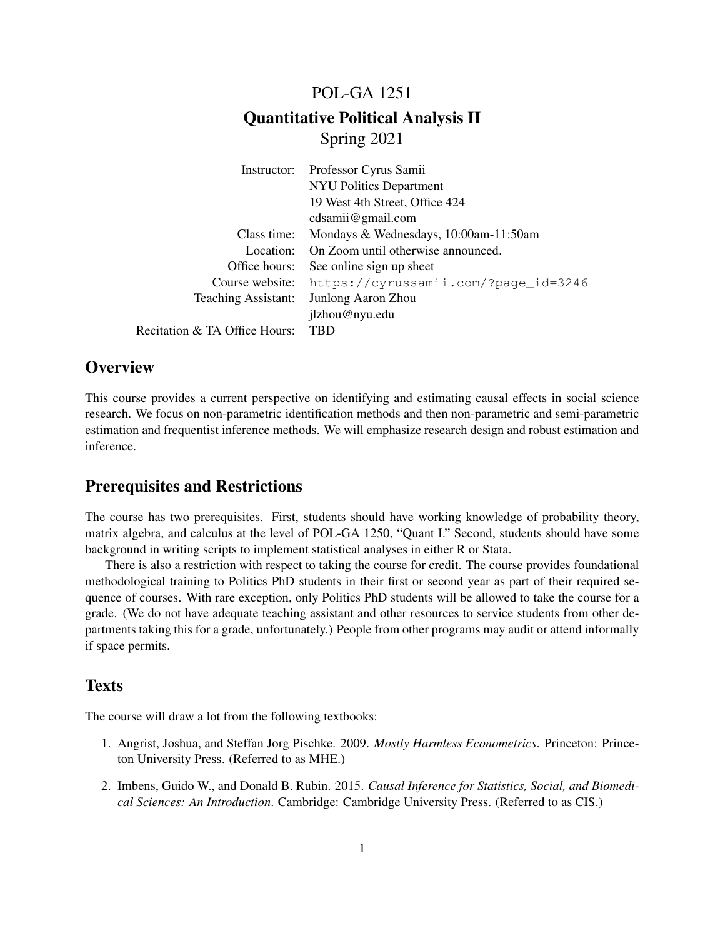# POL-GA 1251 Quantitative Political Analysis II Spring 2021

| Instructor:                   | Professor Cyrus Samii                 |
|-------------------------------|---------------------------------------|
|                               | <b>NYU Politics Department</b>        |
|                               | 19 West 4th Street, Office 424        |
|                               | cdsami@gmail.com                      |
| Class time:                   | Mondays & Wednesdays, 10:00am-11:50am |
| Location:                     | On Zoom until otherwise announced.    |
| Office hours:                 | See online sign up sheet              |
| Course website:               | https://cyrussamii.com/?page_id=3246  |
| <b>Teaching Assistant:</b>    | Junlong Aaron Zhou                    |
|                               | jlzhou@nyu.edu                        |
| Recitation & TA Office Hours: | TBD                                   |

## **Overview**

This course provides a current perspective on identifying and estimating causal effects in social science research. We focus on non-parametric identification methods and then non-parametric and semi-parametric estimation and frequentist inference methods. We will emphasize research design and robust estimation and inference.

## Prerequisites and Restrictions

The course has two prerequisites. First, students should have working knowledge of probability theory, matrix algebra, and calculus at the level of POL-GA 1250, "Quant I." Second, students should have some background in writing scripts to implement statistical analyses in either R or Stata.

There is also a restriction with respect to taking the course for credit. The course provides foundational methodological training to Politics PhD students in their first or second year as part of their required sequence of courses. With rare exception, only Politics PhD students will be allowed to take the course for a grade. (We do not have adequate teaching assistant and other resources to service students from other departments taking this for a grade, unfortunately.) People from other programs may audit or attend informally if space permits.

## **Texts**

The course will draw a lot from the following textbooks:

- 1. Angrist, Joshua, and Steffan Jorg Pischke. 2009. *Mostly Harmless Econometrics*. Princeton: Princeton University Press. (Referred to as MHE.)
- 2. Imbens, Guido W., and Donald B. Rubin. 2015. *Causal Inference for Statistics, Social, and Biomedical Sciences: An Introduction*. Cambridge: Cambridge University Press. (Referred to as CIS.)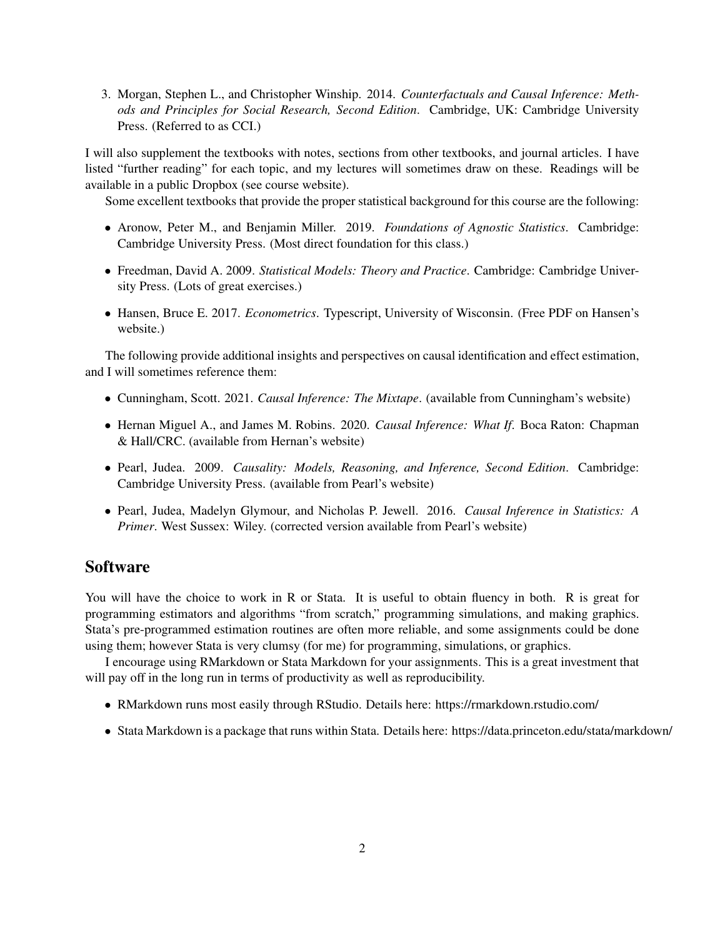3. Morgan, Stephen L., and Christopher Winship. 2014. *Counterfactuals and Causal Inference: Methods and Principles for Social Research, Second Edition*. Cambridge, UK: Cambridge University Press. (Referred to as CCI.)

I will also supplement the textbooks with notes, sections from other textbooks, and journal articles. I have listed "further reading" for each topic, and my lectures will sometimes draw on these. Readings will be available in a public Dropbox (see course website).

Some excellent textbooks that provide the proper statistical background for this course are the following:

- Aronow, Peter M., and Benjamin Miller. 2019. *Foundations of Agnostic Statistics*. Cambridge: Cambridge University Press. (Most direct foundation for this class.)
- Freedman, David A. 2009. *Statistical Models: Theory and Practice*. Cambridge: Cambridge University Press. (Lots of great exercises.)
- Hansen, Bruce E. 2017. *Econometrics*. Typescript, University of Wisconsin. (Free PDF on Hansen's website.)

The following provide additional insights and perspectives on causal identification and effect estimation, and I will sometimes reference them:

- Cunningham, Scott. 2021. *Causal Inference: The Mixtape*. (available from Cunningham's website)
- Hernan Miguel A., and James M. Robins. 2020. *Causal Inference: What If*. Boca Raton: Chapman & Hall/CRC. (available from Hernan's website)
- Pearl, Judea. 2009. *Causality: Models, Reasoning, and Inference, Second Edition*. Cambridge: Cambridge University Press. (available from Pearl's website)
- Pearl, Judea, Madelyn Glymour, and Nicholas P. Jewell. 2016. *Causal Inference in Statistics: A Primer*. West Sussex: Wiley. (corrected version available from Pearl's website)

#### **Software**

You will have the choice to work in R or Stata. It is useful to obtain fluency in both. R is great for programming estimators and algorithms "from scratch," programming simulations, and making graphics. Stata's pre-programmed estimation routines are often more reliable, and some assignments could be done using them; however Stata is very clumsy (for me) for programming, simulations, or graphics.

I encourage using RMarkdown or Stata Markdown for your assignments. This is a great investment that will pay off in the long run in terms of productivity as well as reproducibility.

- RMarkdown runs most easily through RStudio. Details here: https://rmarkdown.rstudio.com/
- Stata Markdown is a package that runs within Stata. Details here: https://data.princeton.edu/stata/markdown/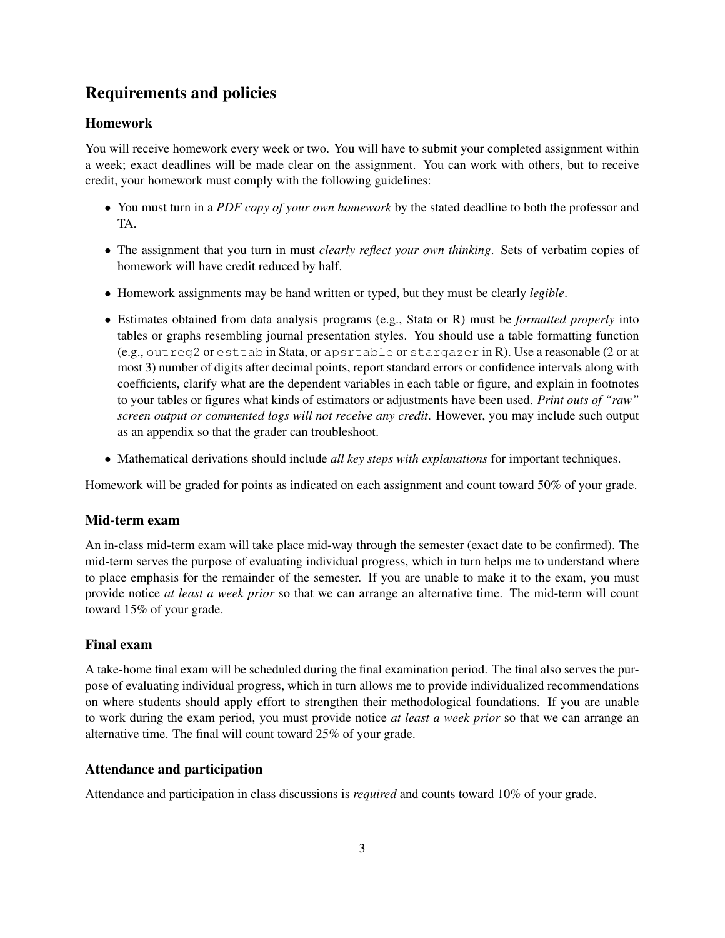## Requirements and policies

#### Homework

You will receive homework every week or two. You will have to submit your completed assignment within a week; exact deadlines will be made clear on the assignment. You can work with others, but to receive credit, your homework must comply with the following guidelines:

- You must turn in a *PDF copy of your own homework* by the stated deadline to both the professor and TA.
- The assignment that you turn in must *clearly reflect your own thinking*. Sets of verbatim copies of homework will have credit reduced by half.
- Homework assignments may be hand written or typed, but they must be clearly *legible*.
- Estimates obtained from data analysis programs (e.g., Stata or R) must be *formatted properly* into tables or graphs resembling journal presentation styles. You should use a table formatting function (e.g., outreg2 or esttab in Stata, or apsrtable or stargazer in R). Use a reasonable (2 or at most 3) number of digits after decimal points, report standard errors or confidence intervals along with coefficients, clarify what are the dependent variables in each table or figure, and explain in footnotes to your tables or figures what kinds of estimators or adjustments have been used. *Print outs of "raw" screen output or commented logs will not receive any credit*. However, you may include such output as an appendix so that the grader can troubleshoot.
- Mathematical derivations should include *all key steps with explanations* for important techniques.

Homework will be graded for points as indicated on each assignment and count toward 50% of your grade.

#### Mid-term exam

An in-class mid-term exam will take place mid-way through the semester (exact date to be confirmed). The mid-term serves the purpose of evaluating individual progress, which in turn helps me to understand where to place emphasis for the remainder of the semester. If you are unable to make it to the exam, you must provide notice *at least a week prior* so that we can arrange an alternative time. The mid-term will count toward 15% of your grade.

#### Final exam

A take-home final exam will be scheduled during the final examination period. The final also serves the purpose of evaluating individual progress, which in turn allows me to provide individualized recommendations on where students should apply effort to strengthen their methodological foundations. If you are unable to work during the exam period, you must provide notice *at least a week prior* so that we can arrange an alternative time. The final will count toward 25% of your grade.

#### Attendance and participation

Attendance and participation in class discussions is *required* and counts toward 10% of your grade.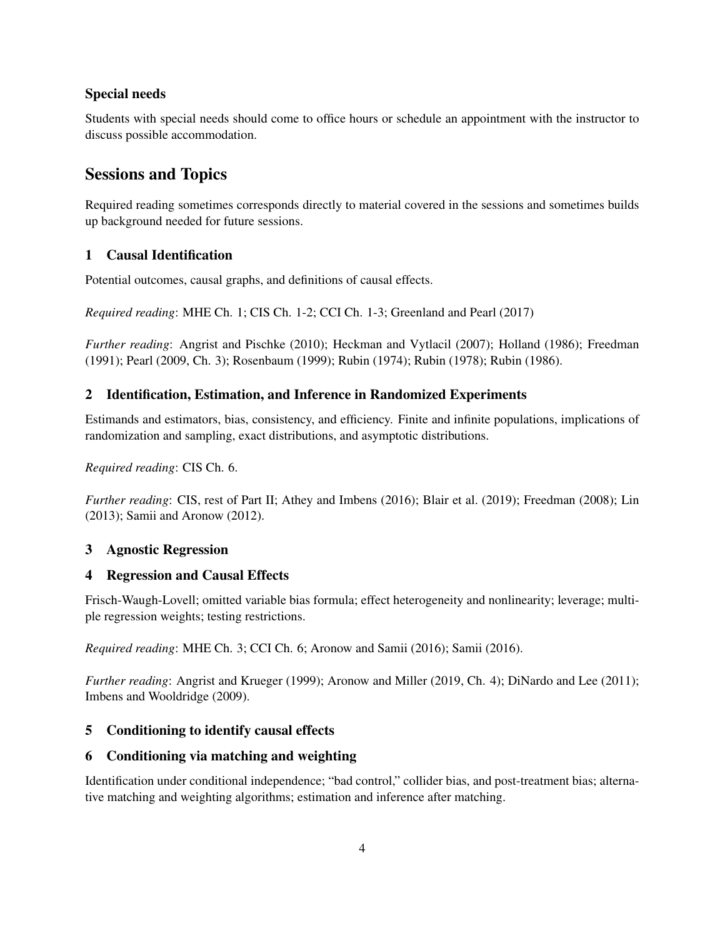#### Special needs

Students with special needs should come to office hours or schedule an appointment with the instructor to discuss possible accommodation.

## Sessions and Topics

Required reading sometimes corresponds directly to material covered in the sessions and sometimes builds up background needed for future sessions.

#### 1 Causal Identification

Potential outcomes, causal graphs, and definitions of causal effects.

*Required reading*: MHE Ch. 1; CIS Ch. 1-2; CCI Ch. 1-3; Greenland and Pearl (2017)

*Further reading*: Angrist and Pischke (2010); Heckman and Vytlacil (2007); Holland (1986); Freedman (1991); Pearl (2009, Ch. 3); Rosenbaum (1999); Rubin (1974); Rubin (1978); Rubin (1986).

#### 2 Identification, Estimation, and Inference in Randomized Experiments

Estimands and estimators, bias, consistency, and efficiency. Finite and infinite populations, implications of randomization and sampling, exact distributions, and asymptotic distributions.

*Required reading*: CIS Ch. 6.

*Further reading*: CIS, rest of Part II; Athey and Imbens (2016); Blair et al. (2019); Freedman (2008); Lin (2013); Samii and Aronow (2012).

#### 3 Agnostic Regression

#### 4 Regression and Causal Effects

Frisch-Waugh-Lovell; omitted variable bias formula; effect heterogeneity and nonlinearity; leverage; multiple regression weights; testing restrictions.

*Required reading*: MHE Ch. 3; CCI Ch. 6; Aronow and Samii (2016); Samii (2016).

*Further reading*: Angrist and Krueger (1999); Aronow and Miller (2019, Ch. 4); DiNardo and Lee (2011); Imbens and Wooldridge (2009).

#### 5 Conditioning to identify causal effects

#### 6 Conditioning via matching and weighting

Identification under conditional independence; "bad control," collider bias, and post-treatment bias; alternative matching and weighting algorithms; estimation and inference after matching.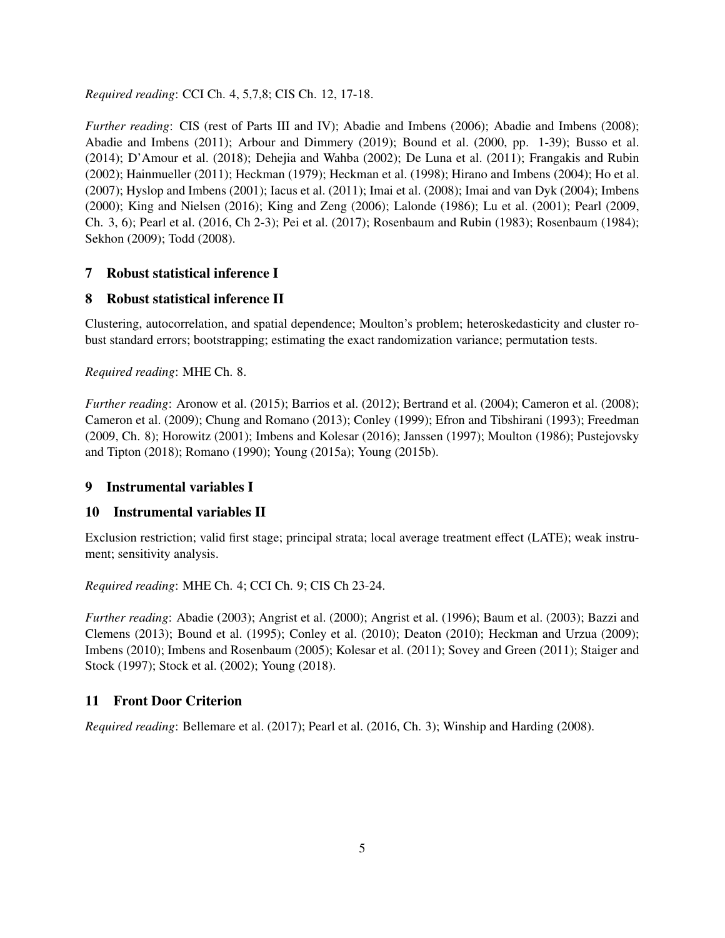*Required reading*: CCI Ch. 4, 5,7,8; CIS Ch. 12, 17-18.

*Further reading*: CIS (rest of Parts III and IV); Abadie and Imbens (2006); Abadie and Imbens (2008); Abadie and Imbens (2011); Arbour and Dimmery (2019); Bound et al. (2000, pp. 1-39); Busso et al. (2014); D'Amour et al. (2018); Dehejia and Wahba (2002); De Luna et al. (2011); Frangakis and Rubin (2002); Hainmueller (2011); Heckman (1979); Heckman et al. (1998); Hirano and Imbens (2004); Ho et al. (2007); Hyslop and Imbens (2001); Iacus et al. (2011); Imai et al. (2008); Imai and van Dyk (2004); Imbens (2000); King and Nielsen (2016); King and Zeng (2006); Lalonde (1986); Lu et al. (2001); Pearl (2009, Ch. 3, 6); Pearl et al. (2016, Ch 2-3); Pei et al. (2017); Rosenbaum and Rubin (1983); Rosenbaum (1984); Sekhon (2009); Todd (2008).

#### 7 Robust statistical inference I

#### 8 Robust statistical inference II

Clustering, autocorrelation, and spatial dependence; Moulton's problem; heteroskedasticity and cluster robust standard errors; bootstrapping; estimating the exact randomization variance; permutation tests.

*Required reading*: MHE Ch. 8.

*Further reading*: Aronow et al. (2015); Barrios et al. (2012); Bertrand et al. (2004); Cameron et al. (2008); Cameron et al. (2009); Chung and Romano (2013); Conley (1999); Efron and Tibshirani (1993); Freedman (2009, Ch. 8); Horowitz (2001); Imbens and Kolesar (2016); Janssen (1997); Moulton (1986); Pustejovsky and Tipton (2018); Romano (1990); Young (2015a); Young (2015b).

#### 9 Instrumental variables I

#### 10 Instrumental variables II

Exclusion restriction; valid first stage; principal strata; local average treatment effect (LATE); weak instrument; sensitivity analysis.

*Required reading*: MHE Ch. 4; CCI Ch. 9; CIS Ch 23-24.

*Further reading*: Abadie (2003); Angrist et al. (2000); Angrist et al. (1996); Baum et al. (2003); Bazzi and Clemens (2013); Bound et al. (1995); Conley et al. (2010); Deaton (2010); Heckman and Urzua (2009); Imbens (2010); Imbens and Rosenbaum (2005); Kolesar et al. (2011); Sovey and Green (2011); Staiger and Stock (1997); Stock et al. (2002); Young (2018).

#### 11 Front Door Criterion

*Required reading*: Bellemare et al. (2017); Pearl et al. (2016, Ch. 3); Winship and Harding (2008).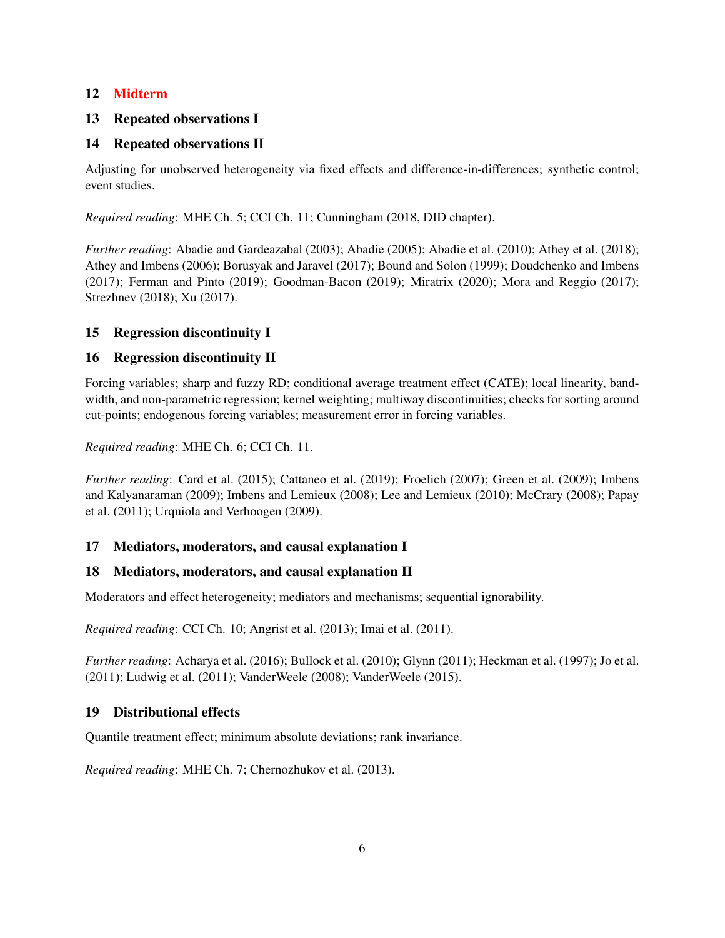#### 12 Midterm

#### 13 Repeated observations I

#### 14 Repeated observations II

Adjusting for unobserved heterogeneity via fixed effects and difference-in-differences; synthetic control; event studies.

*Required reading*: MHE Ch. 5; CCI Ch. 11; Cunningham (2018, DID chapter).

*Further reading*: Abadie and Gardeazabal (2003); Abadie (2005); Abadie et al. (2010); Athey et al. (2018); Athey and Imbens (2006); Borusyak and Jaravel (2017); Bound and Solon (1999); Doudchenko and Imbens (2017); Ferman and Pinto (2019); Goodman-Bacon (2019); Miratrix (2020); Mora and Reggio (2017); Strezhnev (2018); Xu (2017).

#### 15 Regression discontinuity I

#### 16 Regression discontinuity II

Forcing variables; sharp and fuzzy RD; conditional average treatment effect (CATE); local linearity, bandwidth, and non-parametric regression; kernel weighting; multiway discontinuities; checks for sorting around cut-points; endogenous forcing variables; measurement error in forcing variables.

*Required reading*: MHE Ch. 6; CCI Ch. 11.

*Further reading*: Card et al. (2015); Cattaneo et al. (2019); Froelich (2007); Green et al. (2009); Imbens and Kalyanaraman (2009); Imbens and Lemieux (2008); Lee and Lemieux (2010); McCrary (2008); Papay et al. (2011); Urquiola and Verhoogen (2009).

#### 17 Mediators, moderators, and causal explanation I

#### 18 Mediators, moderators, and causal explanation II

Moderators and effect heterogeneity; mediators and mechanisms; sequential ignorability.

*Required reading*: CCI Ch. 10; Angrist et al. (2013); Imai et al. (2011).

*Further reading*: Acharya et al. (2016); Bullock et al. (2010); Glynn (2011); Heckman et al. (1997); Jo et al. (2011); Ludwig et al. (2011); VanderWeele (2008); VanderWeele (2015).

#### 19 Distributional effects

Quantile treatment effect; minimum absolute deviations; rank invariance.

*Required reading*: MHE Ch. 7; Chernozhukov et al. (2013).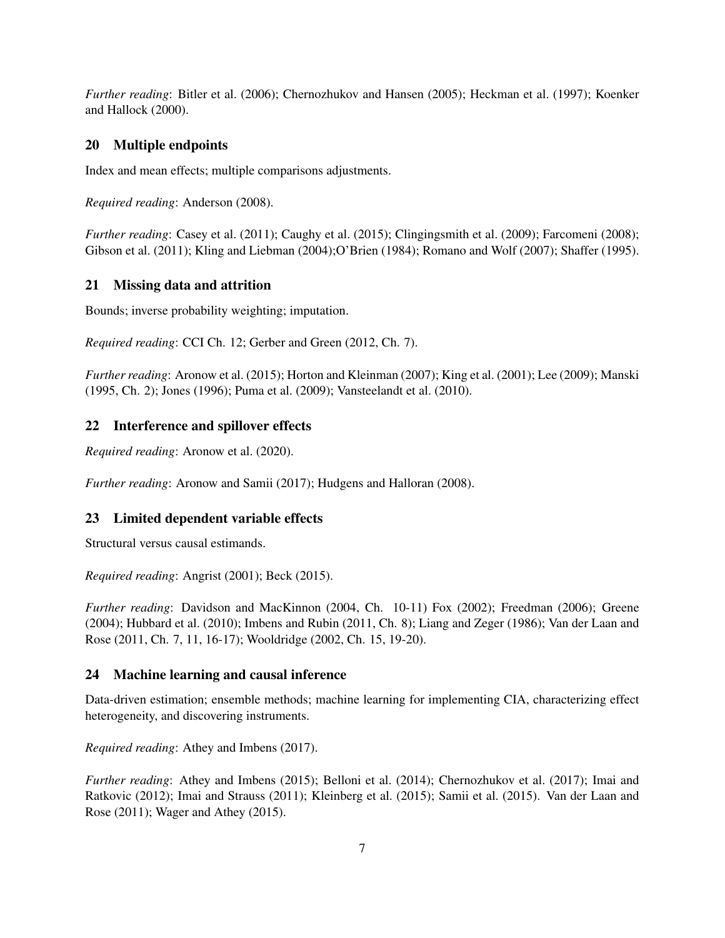*Further reading*: Bitler et al. (2006); Chernozhukov and Hansen (2005); Heckman et al. (1997); Koenker and Hallock (2000).

#### 20 Multiple endpoints

Index and mean effects; multiple comparisons adjustments.

*Required reading*: Anderson (2008).

*Further reading*: Casey et al. (2011); Caughy et al. (2015); Clingingsmith et al. (2009); Farcomeni (2008); Gibson et al. (2011); Kling and Liebman (2004);O'Brien (1984); Romano and Wolf (2007); Shaffer (1995).

#### 21 Missing data and attrition

Bounds; inverse probability weighting; imputation.

*Required reading*: CCI Ch. 12; Gerber and Green (2012, Ch. 7).

*Further reading*: Aronow et al. (2015); Horton and Kleinman (2007); King et al. (2001); Lee (2009); Manski (1995, Ch. 2); Jones (1996); Puma et al. (2009); Vansteelandt et al. (2010).

#### 22 Interference and spillover effects

*Required reading*: Aronow et al. (2020).

*Further reading*: Aronow and Samii (2017); Hudgens and Halloran (2008).

#### 23 Limited dependent variable effects

Structural versus causal estimands.

*Required reading*: Angrist (2001); Beck (2015).

*Further reading*: Davidson and MacKinnon (2004, Ch. 10-11) Fox (2002); Freedman (2006); Greene (2004); Hubbard et al. (2010); Imbens and Rubin (2011, Ch. 8); Liang and Zeger (1986); Van der Laan and Rose (2011, Ch. 7, 11, 16-17); Wooldridge (2002, Ch. 15, 19-20).

#### 24 Machine learning and causal inference

Data-driven estimation; ensemble methods; machine learning for implementing CIA, characterizing effect heterogeneity, and discovering instruments.

*Required reading*: Athey and Imbens (2017).

*Further reading*: Athey and Imbens (2015); Belloni et al. (2014); Chernozhukov et al. (2017); Imai and Ratkovic (2012); Imai and Strauss (2011); Kleinberg et al. (2015); Samii et al. (2015). Van der Laan and Rose (2011); Wager and Athey (2015).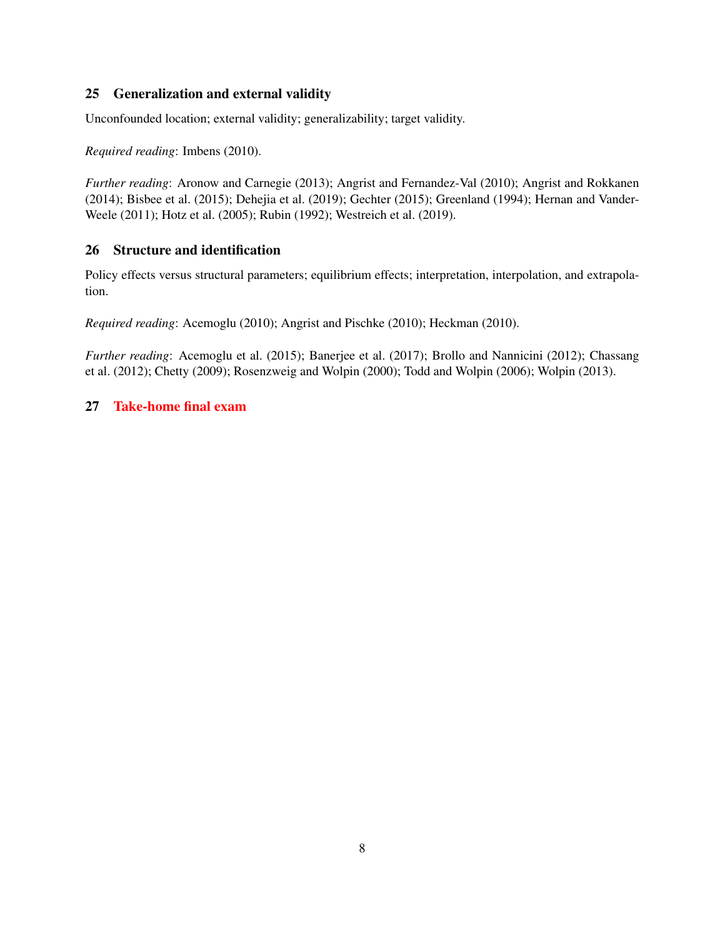#### 25 Generalization and external validity

Unconfounded location; external validity; generalizability; target validity.

*Required reading*: Imbens (2010).

*Further reading*: Aronow and Carnegie (2013); Angrist and Fernandez-Val (2010); Angrist and Rokkanen (2014); Bisbee et al. (2015); Dehejia et al. (2019); Gechter (2015); Greenland (1994); Hernan and Vander-Weele (2011); Hotz et al. (2005); Rubin (1992); Westreich et al. (2019).

#### 26 Structure and identification

Policy effects versus structural parameters; equilibrium effects; interpretation, interpolation, and extrapolation.

*Required reading*: Acemoglu (2010); Angrist and Pischke (2010); Heckman (2010).

*Further reading*: Acemoglu et al. (2015); Banerjee et al. (2017); Brollo and Nannicini (2012); Chassang et al. (2012); Chetty (2009); Rosenzweig and Wolpin (2000); Todd and Wolpin (2006); Wolpin (2013).

#### 27 Take-home final exam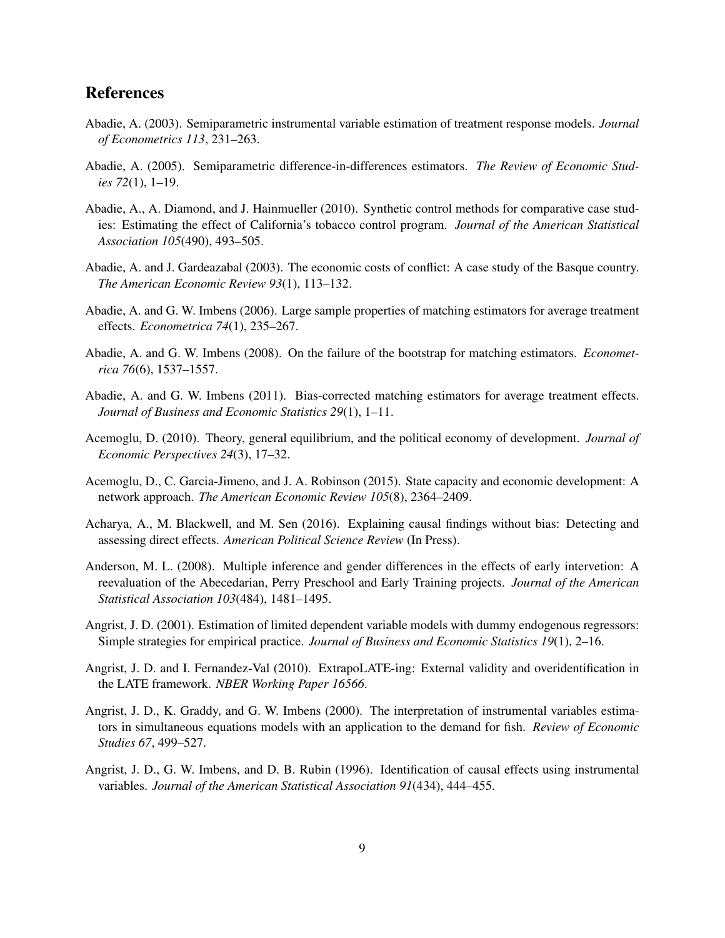### References

- Abadie, A. (2003). Semiparametric instrumental variable estimation of treatment response models. *Journal of Econometrics 113*, 231–263.
- Abadie, A. (2005). Semiparametric difference-in-differences estimators. *The Review of Economic Studies 72*(1), 1–19.
- Abadie, A., A. Diamond, and J. Hainmueller (2010). Synthetic control methods for comparative case studies: Estimating the effect of California's tobacco control program. *Journal of the American Statistical Association 105*(490), 493–505.
- Abadie, A. and J. Gardeazabal (2003). The economic costs of conflict: A case study of the Basque country. *The American Economic Review 93*(1), 113–132.
- Abadie, A. and G. W. Imbens (2006). Large sample properties of matching estimators for average treatment effects. *Econometrica 74*(1), 235–267.
- Abadie, A. and G. W. Imbens (2008). On the failure of the bootstrap for matching estimators. *Econometrica 76*(6), 1537–1557.
- Abadie, A. and G. W. Imbens (2011). Bias-corrected matching estimators for average treatment effects. *Journal of Business and Economic Statistics 29*(1), 1–11.
- Acemoglu, D. (2010). Theory, general equilibrium, and the political economy of development. *Journal of Economic Perspectives 24*(3), 17–32.
- Acemoglu, D., C. Garcia-Jimeno, and J. A. Robinson (2015). State capacity and economic development: A network approach. *The American Economic Review 105*(8), 2364–2409.
- Acharya, A., M. Blackwell, and M. Sen (2016). Explaining causal findings without bias: Detecting and assessing direct effects. *American Political Science Review* (In Press).
- Anderson, M. L. (2008). Multiple inference and gender differences in the effects of early intervetion: A reevaluation of the Abecedarian, Perry Preschool and Early Training projects. *Journal of the American Statistical Association 103*(484), 1481–1495.
- Angrist, J. D. (2001). Estimation of limited dependent variable models with dummy endogenous regressors: Simple strategies for empirical practice. *Journal of Business and Economic Statistics 19*(1), 2–16.
- Angrist, J. D. and I. Fernandez-Val (2010). ExtrapoLATE-ing: External validity and overidentification in the LATE framework. *NBER Working Paper 16566*.
- Angrist, J. D., K. Graddy, and G. W. Imbens (2000). The interpretation of instrumental variables estimators in simultaneous equations models with an application to the demand for fish. *Review of Economic Studies 67*, 499–527.
- Angrist, J. D., G. W. Imbens, and D. B. Rubin (1996). Identification of causal effects using instrumental variables. *Journal of the American Statistical Association 91*(434), 444–455.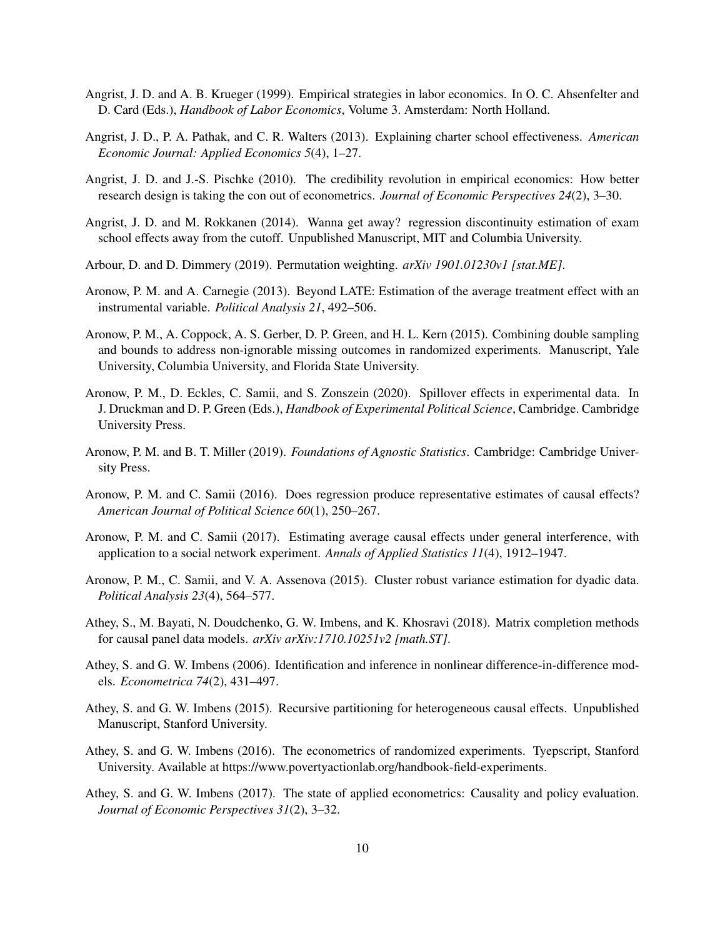- Angrist, J. D. and A. B. Krueger (1999). Empirical strategies in labor economics. In O. C. Ahsenfelter and D. Card (Eds.), *Handbook of Labor Economics*, Volume 3. Amsterdam: North Holland.
- Angrist, J. D., P. A. Pathak, and C. R. Walters (2013). Explaining charter school effectiveness. *American Economic Journal: Applied Economics 5*(4), 1–27.
- Angrist, J. D. and J.-S. Pischke (2010). The credibility revolution in empirical economics: How better research design is taking the con out of econometrics. *Journal of Economic Perspectives 24*(2), 3–30.
- Angrist, J. D. and M. Rokkanen (2014). Wanna get away? regression discontinuity estimation of exam school effects away from the cutoff. Unpublished Manuscript, MIT and Columbia University.
- Arbour, D. and D. Dimmery (2019). Permutation weighting. *arXiv 1901.01230v1 [stat.ME]*.
- Aronow, P. M. and A. Carnegie (2013). Beyond LATE: Estimation of the average treatment effect with an instrumental variable. *Political Analysis 21*, 492–506.
- Aronow, P. M., A. Coppock, A. S. Gerber, D. P. Green, and H. L. Kern (2015). Combining double sampling and bounds to address non-ignorable missing outcomes in randomized experiments. Manuscript, Yale University, Columbia University, and Florida State University.
- Aronow, P. M., D. Eckles, C. Samii, and S. Zonszein (2020). Spillover effects in experimental data. In J. Druckman and D. P. Green (Eds.), *Handbook of Experimental Political Science*, Cambridge. Cambridge University Press.
- Aronow, P. M. and B. T. Miller (2019). *Foundations of Agnostic Statistics*. Cambridge: Cambridge University Press.
- Aronow, P. M. and C. Samii (2016). Does regression produce representative estimates of causal effects? *American Journal of Political Science 60*(1), 250–267.
- Aronow, P. M. and C. Samii (2017). Estimating average causal effects under general interference, with application to a social network experiment. *Annals of Applied Statistics 11*(4), 1912–1947.
- Aronow, P. M., C. Samii, and V. A. Assenova (2015). Cluster robust variance estimation for dyadic data. *Political Analysis 23*(4), 564–577.
- Athey, S., M. Bayati, N. Doudchenko, G. W. Imbens, and K. Khosravi (2018). Matrix completion methods for causal panel data models. *arXiv arXiv:1710.10251v2 [math.ST]*.
- Athey, S. and G. W. Imbens (2006). Identification and inference in nonlinear difference-in-difference models. *Econometrica 74*(2), 431–497.
- Athey, S. and G. W. Imbens (2015). Recursive partitioning for heterogeneous causal effects. Unpublished Manuscript, Stanford University.
- Athey, S. and G. W. Imbens (2016). The econometrics of randomized experiments. Tyepscript, Stanford University. Available at https://www.povertyactionlab.org/handbook-field-experiments.
- Athey, S. and G. W. Imbens (2017). The state of applied econometrics: Causality and policy evaluation. *Journal of Economic Perspectives 31*(2), 3–32.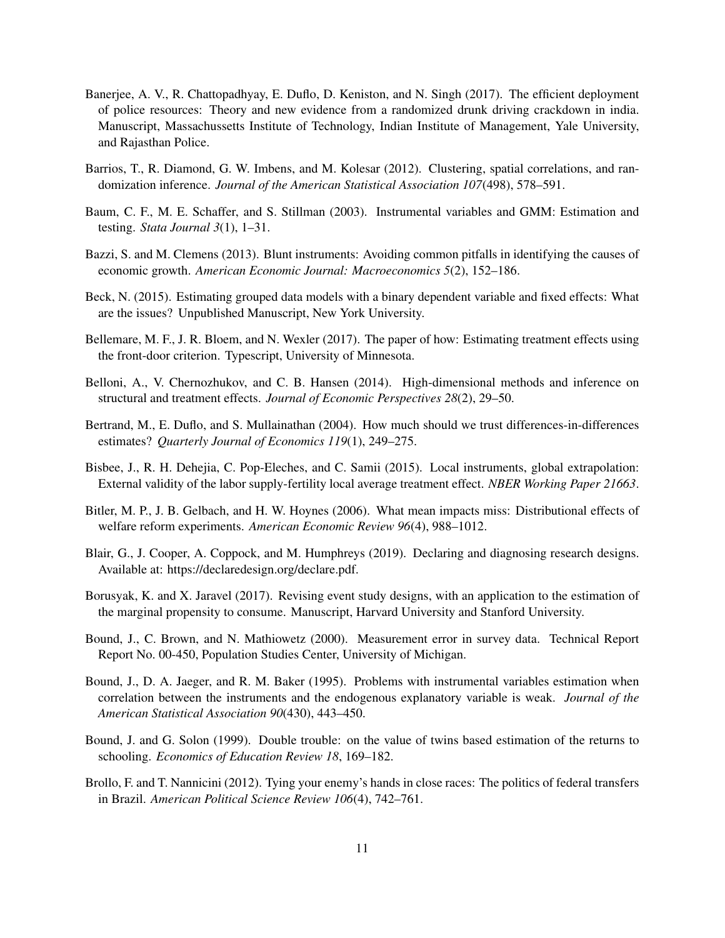- Banerjee, A. V., R. Chattopadhyay, E. Duflo, D. Keniston, and N. Singh (2017). The efficient deployment of police resources: Theory and new evidence from a randomized drunk driving crackdown in india. Manuscript, Massachussetts Institute of Technology, Indian Institute of Management, Yale University, and Rajasthan Police.
- Barrios, T., R. Diamond, G. W. Imbens, and M. Kolesar (2012). Clustering, spatial correlations, and randomization inference. *Journal of the American Statistical Association 107*(498), 578–591.
- Baum, C. F., M. E. Schaffer, and S. Stillman (2003). Instrumental variables and GMM: Estimation and testing. *Stata Journal 3*(1), 1–31.
- Bazzi, S. and M. Clemens (2013). Blunt instruments: Avoiding common pitfalls in identifying the causes of economic growth. *American Economic Journal: Macroeconomics 5*(2), 152–186.
- Beck, N. (2015). Estimating grouped data models with a binary dependent variable and fixed effects: What are the issues? Unpublished Manuscript, New York University.
- Bellemare, M. F., J. R. Bloem, and N. Wexler (2017). The paper of how: Estimating treatment effects using the front-door criterion. Typescript, University of Minnesota.
- Belloni, A., V. Chernozhukov, and C. B. Hansen (2014). High-dimensional methods and inference on structural and treatment effects. *Journal of Economic Perspectives 28*(2), 29–50.
- Bertrand, M., E. Duflo, and S. Mullainathan (2004). How much should we trust differences-in-differences estimates? *Quarterly Journal of Economics 119*(1), 249–275.
- Bisbee, J., R. H. Dehejia, C. Pop-Eleches, and C. Samii (2015). Local instruments, global extrapolation: External validity of the labor supply-fertility local average treatment effect. *NBER Working Paper 21663*.
- Bitler, M. P., J. B. Gelbach, and H. W. Hoynes (2006). What mean impacts miss: Distributional effects of welfare reform experiments. *American Economic Review 96*(4), 988–1012.
- Blair, G., J. Cooper, A. Coppock, and M. Humphreys (2019). Declaring and diagnosing research designs. Available at: https://declaredesign.org/declare.pdf.
- Borusyak, K. and X. Jaravel (2017). Revising event study designs, with an application to the estimation of the marginal propensity to consume. Manuscript, Harvard University and Stanford University.
- Bound, J., C. Brown, and N. Mathiowetz (2000). Measurement error in survey data. Technical Report Report No. 00-450, Population Studies Center, University of Michigan.
- Bound, J., D. A. Jaeger, and R. M. Baker (1995). Problems with instrumental variables estimation when correlation between the instruments and the endogenous explanatory variable is weak. *Journal of the American Statistical Association 90*(430), 443–450.
- Bound, J. and G. Solon (1999). Double trouble: on the value of twins based estimation of the returns to schooling. *Economics of Education Review 18*, 169–182.
- Brollo, F. and T. Nannicini (2012). Tying your enemy's hands in close races: The politics of federal transfers in Brazil. *American Political Science Review 106*(4), 742–761.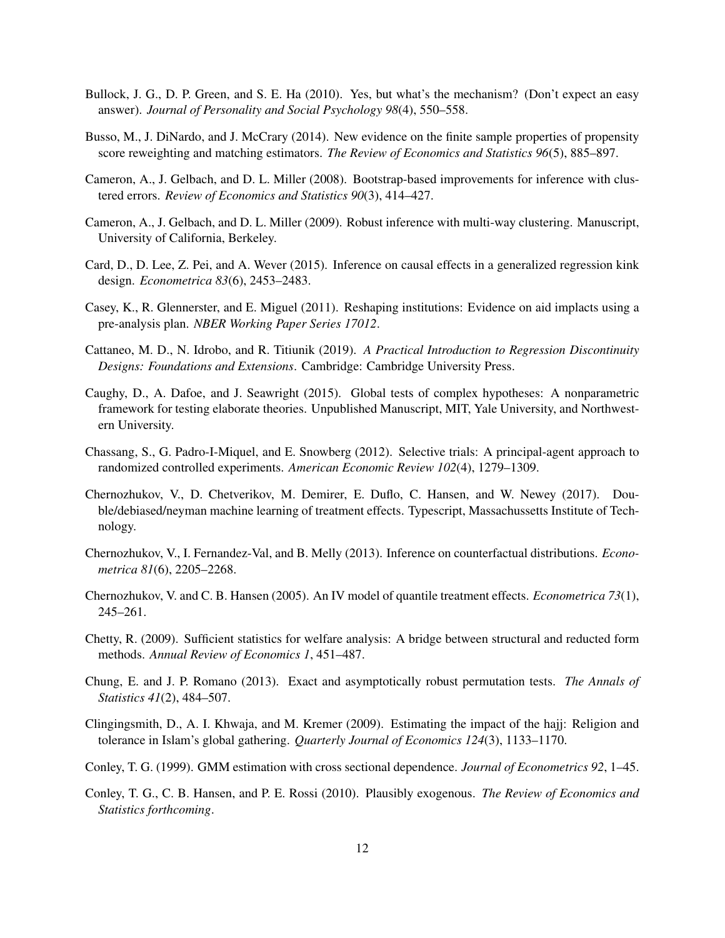- Bullock, J. G., D. P. Green, and S. E. Ha (2010). Yes, but what's the mechanism? (Don't expect an easy answer). *Journal of Personality and Social Psychology 98*(4), 550–558.
- Busso, M., J. DiNardo, and J. McCrary (2014). New evidence on the finite sample properties of propensity score reweighting and matching estimators. *The Review of Economics and Statistics 96*(5), 885–897.
- Cameron, A., J. Gelbach, and D. L. Miller (2008). Bootstrap-based improvements for inference with clustered errors. *Review of Economics and Statistics 90*(3), 414–427.
- Cameron, A., J. Gelbach, and D. L. Miller (2009). Robust inference with multi-way clustering. Manuscript, University of California, Berkeley.
- Card, D., D. Lee, Z. Pei, and A. Wever (2015). Inference on causal effects in a generalized regression kink design. *Econometrica 83*(6), 2453–2483.
- Casey, K., R. Glennerster, and E. Miguel (2011). Reshaping institutions: Evidence on aid implacts using a pre-analysis plan. *NBER Working Paper Series 17012*.
- Cattaneo, M. D., N. Idrobo, and R. Titiunik (2019). *A Practical Introduction to Regression Discontinuity Designs: Foundations and Extensions*. Cambridge: Cambridge University Press.
- Caughy, D., A. Dafoe, and J. Seawright (2015). Global tests of complex hypotheses: A nonparametric framework for testing elaborate theories. Unpublished Manuscript, MIT, Yale University, and Northwestern University.
- Chassang, S., G. Padro-I-Miquel, and E. Snowberg (2012). Selective trials: A principal-agent approach to randomized controlled experiments. *American Economic Review 102*(4), 1279–1309.
- Chernozhukov, V., D. Chetverikov, M. Demirer, E. Duflo, C. Hansen, and W. Newey (2017). Double/debiased/neyman machine learning of treatment effects. Typescript, Massachussetts Institute of Technology.
- Chernozhukov, V., I. Fernandez-Val, and B. Melly (2013). Inference on counterfactual distributions. *Econometrica 81*(6), 2205–2268.
- Chernozhukov, V. and C. B. Hansen (2005). An IV model of quantile treatment effects. *Econometrica 73*(1), 245–261.
- Chetty, R. (2009). Sufficient statistics for welfare analysis: A bridge between structural and reducted form methods. *Annual Review of Economics 1*, 451–487.
- Chung, E. and J. P. Romano (2013). Exact and asymptotically robust permutation tests. *The Annals of Statistics 41*(2), 484–507.
- Clingingsmith, D., A. I. Khwaja, and M. Kremer (2009). Estimating the impact of the hajj: Religion and tolerance in Islam's global gathering. *Quarterly Journal of Economics 124*(3), 1133–1170.
- Conley, T. G. (1999). GMM estimation with cross sectional dependence. *Journal of Econometrics 92*, 1–45.
- Conley, T. G., C. B. Hansen, and P. E. Rossi (2010). Plausibly exogenous. *The Review of Economics and Statistics forthcoming*.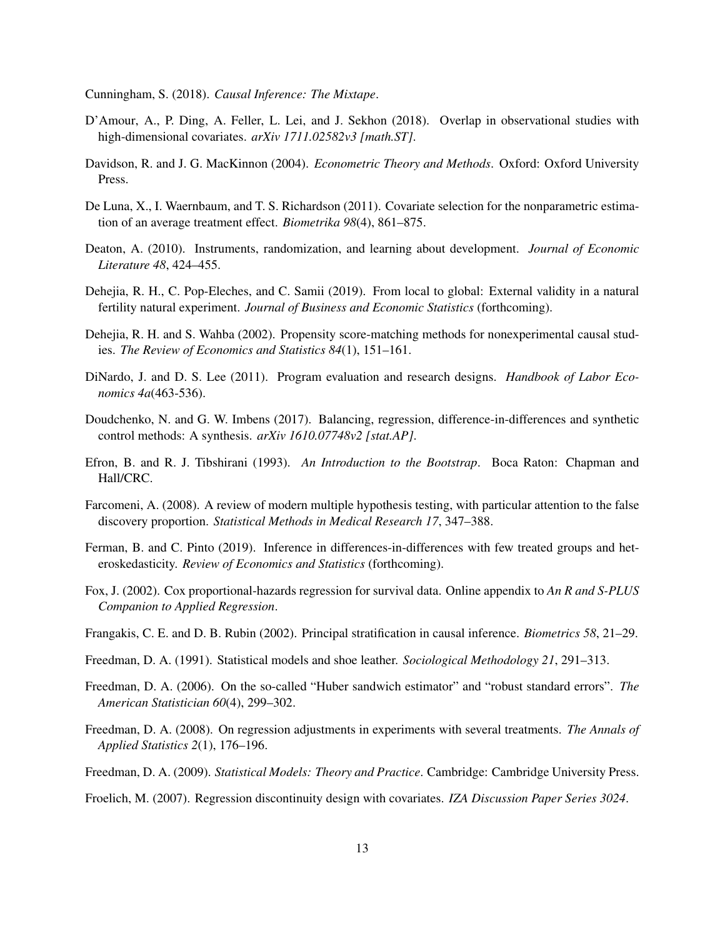Cunningham, S. (2018). *Causal Inference: The Mixtape*.

- D'Amour, A., P. Ding, A. Feller, L. Lei, and J. Sekhon (2018). Overlap in observational studies with high-dimensional covariates. *arXiv 1711.02582v3 [math.ST]*.
- Davidson, R. and J. G. MacKinnon (2004). *Econometric Theory and Methods*. Oxford: Oxford University Press.
- De Luna, X., I. Waernbaum, and T. S. Richardson (2011). Covariate selection for the nonparametric estimation of an average treatment effect. *Biometrika 98*(4), 861–875.
- Deaton, A. (2010). Instruments, randomization, and learning about development. *Journal of Economic Literature 48*, 424–455.
- Dehejia, R. H., C. Pop-Eleches, and C. Samii (2019). From local to global: External validity in a natural fertility natural experiment. *Journal of Business and Economic Statistics* (forthcoming).
- Dehejia, R. H. and S. Wahba (2002). Propensity score-matching methods for nonexperimental causal studies. *The Review of Economics and Statistics 84*(1), 151–161.
- DiNardo, J. and D. S. Lee (2011). Program evaluation and research designs. *Handbook of Labor Economics 4a*(463-536).
- Doudchenko, N. and G. W. Imbens (2017). Balancing, regression, difference-in-differences and synthetic control methods: A synthesis. *arXiv 1610.07748v2 [stat.AP]*.
- Efron, B. and R. J. Tibshirani (1993). *An Introduction to the Bootstrap*. Boca Raton: Chapman and Hall/CRC.
- Farcomeni, A. (2008). A review of modern multiple hypothesis testing, with particular attention to the false discovery proportion. *Statistical Methods in Medical Research 17*, 347–388.
- Ferman, B. and C. Pinto (2019). Inference in differences-in-differences with few treated groups and heteroskedasticity. *Review of Economics and Statistics* (forthcoming).
- Fox, J. (2002). Cox proportional-hazards regression for survival data. Online appendix to *An R and S-PLUS Companion to Applied Regression*.
- Frangakis, C. E. and D. B. Rubin (2002). Principal stratification in causal inference. *Biometrics 58*, 21–29.
- Freedman, D. A. (1991). Statistical models and shoe leather. *Sociological Methodology 21*, 291–313.
- Freedman, D. A. (2006). On the so-called "Huber sandwich estimator" and "robust standard errors". *The American Statistician 60*(4), 299–302.
- Freedman, D. A. (2008). On regression adjustments in experiments with several treatments. *The Annals of Applied Statistics 2*(1), 176–196.
- Freedman, D. A. (2009). *Statistical Models: Theory and Practice*. Cambridge: Cambridge University Press.
- Froelich, M. (2007). Regression discontinuity design with covariates. *IZA Discussion Paper Series 3024*.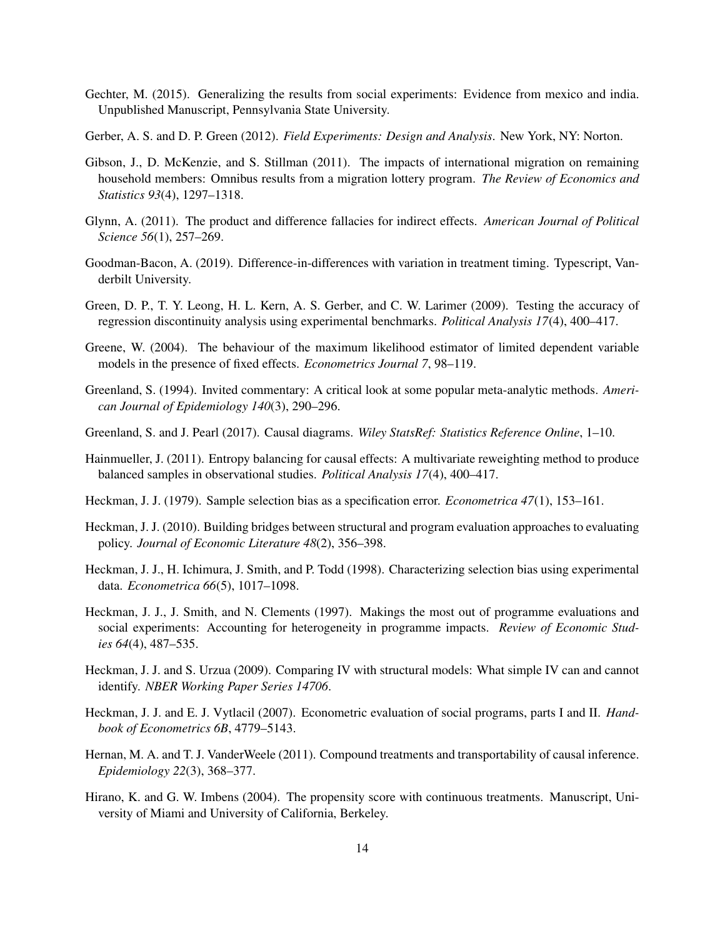- Gechter, M. (2015). Generalizing the results from social experiments: Evidence from mexico and india. Unpublished Manuscript, Pennsylvania State University.
- Gerber, A. S. and D. P. Green (2012). *Field Experiments: Design and Analysis*. New York, NY: Norton.
- Gibson, J., D. McKenzie, and S. Stillman (2011). The impacts of international migration on remaining household members: Omnibus results from a migration lottery program. *The Review of Economics and Statistics 93*(4), 1297–1318.
- Glynn, A. (2011). The product and difference fallacies for indirect effects. *American Journal of Political Science 56*(1), 257–269.
- Goodman-Bacon, A. (2019). Difference-in-differences with variation in treatment timing. Typescript, Vanderbilt University.
- Green, D. P., T. Y. Leong, H. L. Kern, A. S. Gerber, and C. W. Larimer (2009). Testing the accuracy of regression discontinuity analysis using experimental benchmarks. *Political Analysis 17*(4), 400–417.
- Greene, W. (2004). The behaviour of the maximum likelihood estimator of limited dependent variable models in the presence of fixed effects. *Econometrics Journal 7*, 98–119.
- Greenland, S. (1994). Invited commentary: A critical look at some popular meta-analytic methods. *American Journal of Epidemiology 140*(3), 290–296.
- Greenland, S. and J. Pearl (2017). Causal diagrams. *Wiley StatsRef: Statistics Reference Online*, 1–10.
- Hainmueller, J. (2011). Entropy balancing for causal effects: A multivariate reweighting method to produce balanced samples in observational studies. *Political Analysis 17*(4), 400–417.
- Heckman, J. J. (1979). Sample selection bias as a specification error. *Econometrica 47*(1), 153–161.
- Heckman, J. J. (2010). Building bridges between structural and program evaluation approaches to evaluating policy. *Journal of Economic Literature 48*(2), 356–398.
- Heckman, J. J., H. Ichimura, J. Smith, and P. Todd (1998). Characterizing selection bias using experimental data. *Econometrica 66*(5), 1017–1098.
- Heckman, J. J., J. Smith, and N. Clements (1997). Makings the most out of programme evaluations and social experiments: Accounting for heterogeneity in programme impacts. *Review of Economic Studies 64*(4), 487–535.
- Heckman, J. J. and S. Urzua (2009). Comparing IV with structural models: What simple IV can and cannot identify. *NBER Working Paper Series 14706*.
- Heckman, J. J. and E. J. Vytlacil (2007). Econometric evaluation of social programs, parts I and II. *Handbook of Econometrics 6B*, 4779–5143.
- Hernan, M. A. and T. J. VanderWeele (2011). Compound treatments and transportability of causal inference. *Epidemiology 22*(3), 368–377.
- Hirano, K. and G. W. Imbens (2004). The propensity score with continuous treatments. Manuscript, University of Miami and University of California, Berkeley.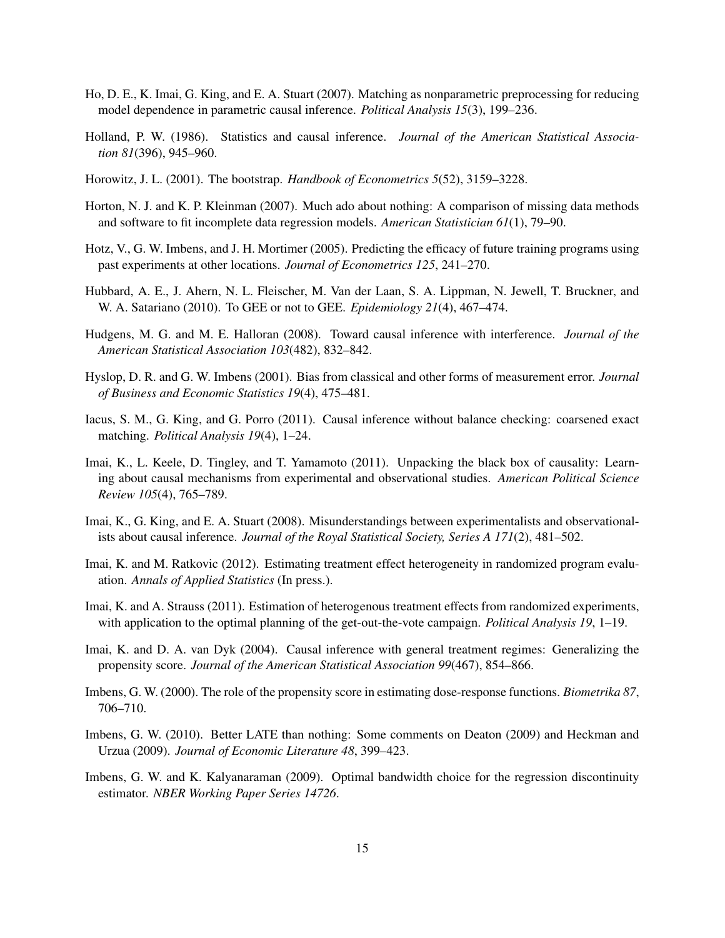- Ho, D. E., K. Imai, G. King, and E. A. Stuart (2007). Matching as nonparametric preprocessing for reducing model dependence in parametric causal inference. *Political Analysis 15*(3), 199–236.
- Holland, P. W. (1986). Statistics and causal inference. *Journal of the American Statistical Association 81*(396), 945–960.
- Horowitz, J. L. (2001). The bootstrap. *Handbook of Econometrics 5*(52), 3159–3228.
- Horton, N. J. and K. P. Kleinman (2007). Much ado about nothing: A comparison of missing data methods and software to fit incomplete data regression models. *American Statistician 61*(1), 79–90.
- Hotz, V., G. W. Imbens, and J. H. Mortimer (2005). Predicting the efficacy of future training programs using past experiments at other locations. *Journal of Econometrics 125*, 241–270.
- Hubbard, A. E., J. Ahern, N. L. Fleischer, M. Van der Laan, S. A. Lippman, N. Jewell, T. Bruckner, and W. A. Satariano (2010). To GEE or not to GEE. *Epidemiology 21*(4), 467–474.
- Hudgens, M. G. and M. E. Halloran (2008). Toward causal inference with interference. *Journal of the American Statistical Association 103*(482), 832–842.
- Hyslop, D. R. and G. W. Imbens (2001). Bias from classical and other forms of measurement error. *Journal of Business and Economic Statistics 19*(4), 475–481.
- Iacus, S. M., G. King, and G. Porro (2011). Causal inference without balance checking: coarsened exact matching. *Political Analysis 19*(4), 1–24.
- Imai, K., L. Keele, D. Tingley, and T. Yamamoto (2011). Unpacking the black box of causality: Learning about causal mechanisms from experimental and observational studies. *American Political Science Review 105*(4), 765–789.
- Imai, K., G. King, and E. A. Stuart (2008). Misunderstandings between experimentalists and observationalists about causal inference. *Journal of the Royal Statistical Society, Series A 171*(2), 481–502.
- Imai, K. and M. Ratkovic (2012). Estimating treatment effect heterogeneity in randomized program evaluation. *Annals of Applied Statistics* (In press.).
- Imai, K. and A. Strauss (2011). Estimation of heterogenous treatment effects from randomized experiments, with application to the optimal planning of the get-out-the-vote campaign. *Political Analysis 19*, 1–19.
- Imai, K. and D. A. van Dyk (2004). Causal inference with general treatment regimes: Generalizing the propensity score. *Journal of the American Statistical Association 99*(467), 854–866.
- Imbens, G. W. (2000). The role of the propensity score in estimating dose-response functions. *Biometrika 87*, 706–710.
- Imbens, G. W. (2010). Better LATE than nothing: Some comments on Deaton (2009) and Heckman and Urzua (2009). *Journal of Economic Literature 48*, 399–423.
- Imbens, G. W. and K. Kalyanaraman (2009). Optimal bandwidth choice for the regression discontinuity estimator. *NBER Working Paper Series 14726*.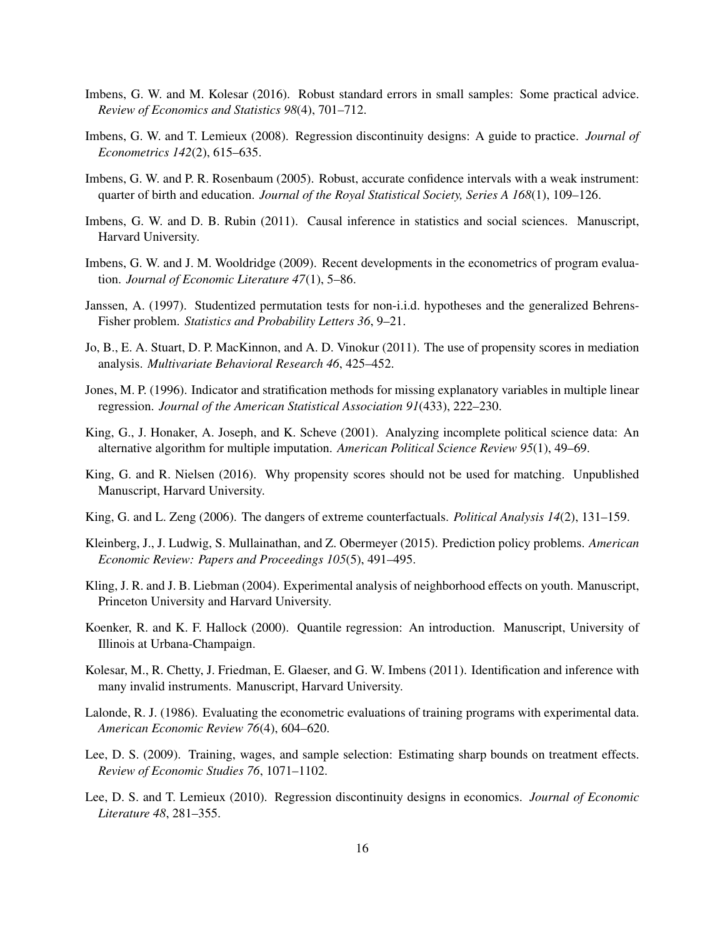- Imbens, G. W. and M. Kolesar (2016). Robust standard errors in small samples: Some practical advice. *Review of Economics and Statistics 98*(4), 701–712.
- Imbens, G. W. and T. Lemieux (2008). Regression discontinuity designs: A guide to practice. *Journal of Econometrics 142*(2), 615–635.
- Imbens, G. W. and P. R. Rosenbaum (2005). Robust, accurate confidence intervals with a weak instrument: quarter of birth and education. *Journal of the Royal Statistical Society, Series A 168*(1), 109–126.
- Imbens, G. W. and D. B. Rubin (2011). Causal inference in statistics and social sciences. Manuscript, Harvard University.
- Imbens, G. W. and J. M. Wooldridge (2009). Recent developments in the econometrics of program evaluation. *Journal of Economic Literature 47*(1), 5–86.
- Janssen, A. (1997). Studentized permutation tests for non-i.i.d. hypotheses and the generalized Behrens-Fisher problem. *Statistics and Probability Letters 36*, 9–21.
- Jo, B., E. A. Stuart, D. P. MacKinnon, and A. D. Vinokur (2011). The use of propensity scores in mediation analysis. *Multivariate Behavioral Research 46*, 425–452.
- Jones, M. P. (1996). Indicator and stratification methods for missing explanatory variables in multiple linear regression. *Journal of the American Statistical Association 91*(433), 222–230.
- King, G., J. Honaker, A. Joseph, and K. Scheve (2001). Analyzing incomplete political science data: An alternative algorithm for multiple imputation. *American Political Science Review 95*(1), 49–69.
- King, G. and R. Nielsen (2016). Why propensity scores should not be used for matching. Unpublished Manuscript, Harvard University.
- King, G. and L. Zeng (2006). The dangers of extreme counterfactuals. *Political Analysis 14*(2), 131–159.
- Kleinberg, J., J. Ludwig, S. Mullainathan, and Z. Obermeyer (2015). Prediction policy problems. *American Economic Review: Papers and Proceedings 105*(5), 491–495.
- Kling, J. R. and J. B. Liebman (2004). Experimental analysis of neighborhood effects on youth. Manuscript, Princeton University and Harvard University.
- Koenker, R. and K. F. Hallock (2000). Quantile regression: An introduction. Manuscript, University of Illinois at Urbana-Champaign.
- Kolesar, M., R. Chetty, J. Friedman, E. Glaeser, and G. W. Imbens (2011). Identification and inference with many invalid instruments. Manuscript, Harvard University.
- Lalonde, R. J. (1986). Evaluating the econometric evaluations of training programs with experimental data. *American Economic Review 76*(4), 604–620.
- Lee, D. S. (2009). Training, wages, and sample selection: Estimating sharp bounds on treatment effects. *Review of Economic Studies 76*, 1071–1102.
- Lee, D. S. and T. Lemieux (2010). Regression discontinuity designs in economics. *Journal of Economic Literature 48*, 281–355.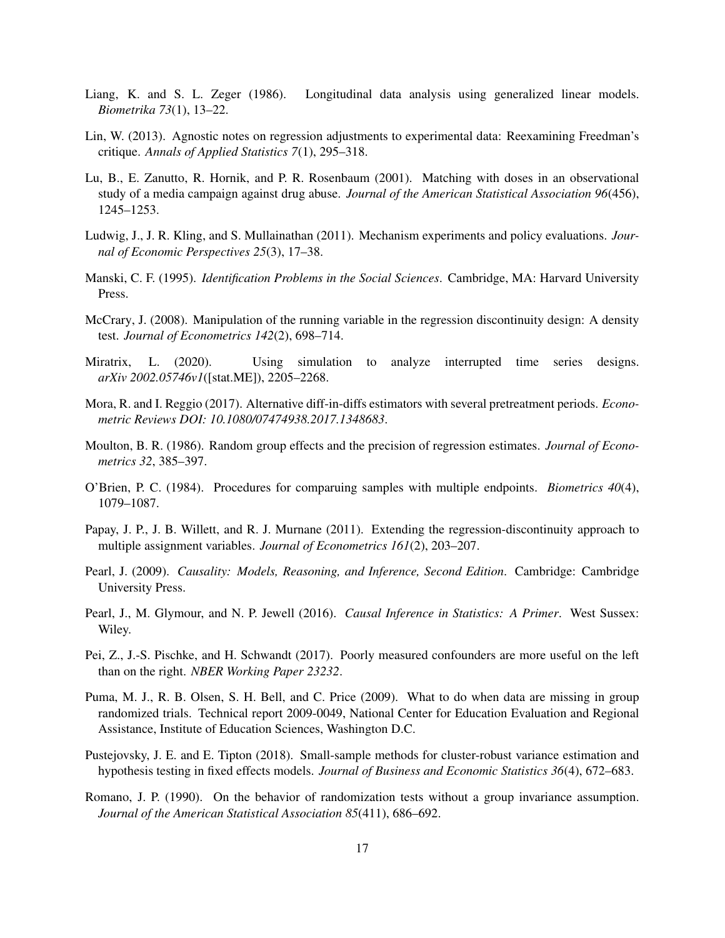- Liang, K. and S. L. Zeger (1986). Longitudinal data analysis using generalized linear models. *Biometrika 73*(1), 13–22.
- Lin, W. (2013). Agnostic notes on regression adjustments to experimental data: Reexamining Freedman's critique. *Annals of Applied Statistics 7*(1), 295–318.
- Lu, B., E. Zanutto, R. Hornik, and P. R. Rosenbaum (2001). Matching with doses in an observational study of a media campaign against drug abuse. *Journal of the American Statistical Association 96*(456), 1245–1253.
- Ludwig, J., J. R. Kling, and S. Mullainathan (2011). Mechanism experiments and policy evaluations. *Journal of Economic Perspectives 25*(3), 17–38.
- Manski, C. F. (1995). *Identification Problems in the Social Sciences*. Cambridge, MA: Harvard University Press.
- McCrary, J. (2008). Manipulation of the running variable in the regression discontinuity design: A density test. *Journal of Econometrics 142*(2), 698–714.
- Miratrix, L. (2020). Using simulation to analyze interrupted time series designs. *arXiv 2002.05746v1*([stat.ME]), 2205–2268.
- Mora, R. and I. Reggio (2017). Alternative diff-in-diffs estimators with several pretreatment periods. *Econometric Reviews DOI: 10.1080/07474938.2017.1348683*.
- Moulton, B. R. (1986). Random group effects and the precision of regression estimates. *Journal of Econometrics 32*, 385–397.
- O'Brien, P. C. (1984). Procedures for comparuing samples with multiple endpoints. *Biometrics 40*(4), 1079–1087.
- Papay, J. P., J. B. Willett, and R. J. Murnane (2011). Extending the regression-discontinuity approach to multiple assignment variables. *Journal of Econometrics 161*(2), 203–207.
- Pearl, J. (2009). *Causality: Models, Reasoning, and Inference, Second Edition*. Cambridge: Cambridge University Press.
- Pearl, J., M. Glymour, and N. P. Jewell (2016). *Causal Inference in Statistics: A Primer*. West Sussex: Wiley.
- Pei, Z., J.-S. Pischke, and H. Schwandt (2017). Poorly measured confounders are more useful on the left than on the right. *NBER Working Paper 23232*.
- Puma, M. J., R. B. Olsen, S. H. Bell, and C. Price (2009). What to do when data are missing in group randomized trials. Technical report 2009-0049, National Center for Education Evaluation and Regional Assistance, Institute of Education Sciences, Washington D.C.
- Pustejovsky, J. E. and E. Tipton (2018). Small-sample methods for cluster-robust variance estimation and hypothesis testing in fixed effects models. *Journal of Business and Economic Statistics 36*(4), 672–683.
- Romano, J. P. (1990). On the behavior of randomization tests without a group invariance assumption. *Journal of the American Statistical Association 85*(411), 686–692.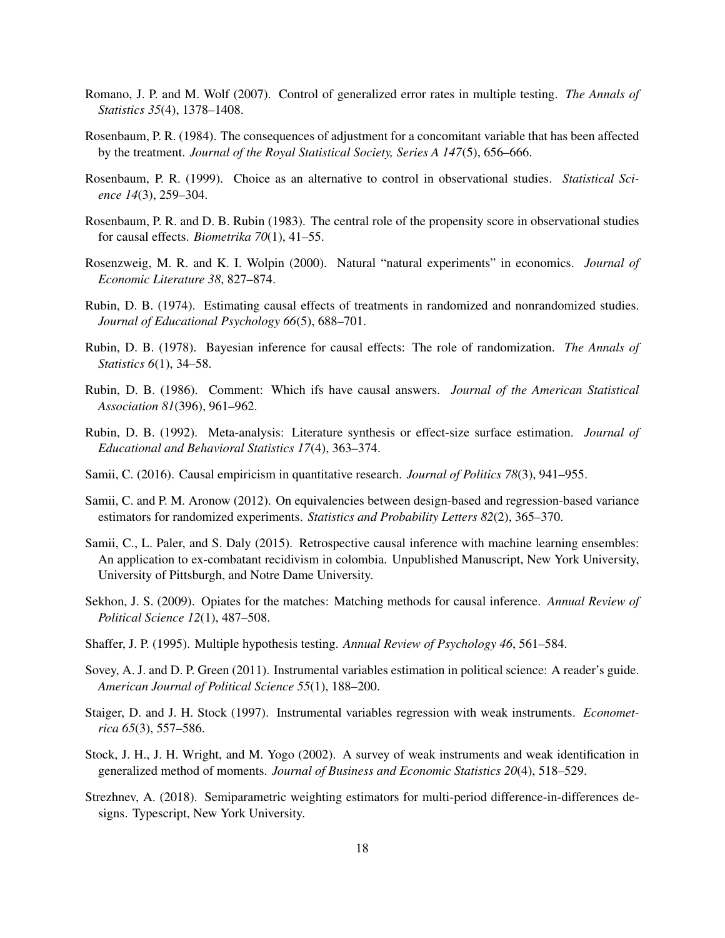- Romano, J. P. and M. Wolf (2007). Control of generalized error rates in multiple testing. *The Annals of Statistics 35*(4), 1378–1408.
- Rosenbaum, P. R. (1984). The consequences of adjustment for a concomitant variable that has been affected by the treatment. *Journal of the Royal Statistical Society, Series A 147*(5), 656–666.
- Rosenbaum, P. R. (1999). Choice as an alternative to control in observational studies. *Statistical Science 14*(3), 259–304.
- Rosenbaum, P. R. and D. B. Rubin (1983). The central role of the propensity score in observational studies for causal effects. *Biometrika 70*(1), 41–55.
- Rosenzweig, M. R. and K. I. Wolpin (2000). Natural "natural experiments" in economics. *Journal of Economic Literature 38*, 827–874.
- Rubin, D. B. (1974). Estimating causal effects of treatments in randomized and nonrandomized studies. *Journal of Educational Psychology 66*(5), 688–701.
- Rubin, D. B. (1978). Bayesian inference for causal effects: The role of randomization. *The Annals of Statistics 6*(1), 34–58.
- Rubin, D. B. (1986). Comment: Which ifs have causal answers. *Journal of the American Statistical Association 81*(396), 961–962.
- Rubin, D. B. (1992). Meta-analysis: Literature synthesis or effect-size surface estimation. *Journal of Educational and Behavioral Statistics 17*(4), 363–374.
- Samii, C. (2016). Causal empiricism in quantitative research. *Journal of Politics 78*(3), 941–955.
- Samii, C. and P. M. Aronow (2012). On equivalencies between design-based and regression-based variance estimators for randomized experiments. *Statistics and Probability Letters 82*(2), 365–370.
- Samii, C., L. Paler, and S. Daly (2015). Retrospective causal inference with machine learning ensembles: An application to ex-combatant recidivism in colombia. Unpublished Manuscript, New York University, University of Pittsburgh, and Notre Dame University.
- Sekhon, J. S. (2009). Opiates for the matches: Matching methods for causal inference. *Annual Review of Political Science 12*(1), 487–508.
- Shaffer, J. P. (1995). Multiple hypothesis testing. *Annual Review of Psychology 46*, 561–584.
- Sovey, A. J. and D. P. Green (2011). Instrumental variables estimation in political science: A reader's guide. *American Journal of Political Science 55*(1), 188–200.
- Staiger, D. and J. H. Stock (1997). Instrumental variables regression with weak instruments. *Econometrica 65*(3), 557–586.
- Stock, J. H., J. H. Wright, and M. Yogo (2002). A survey of weak instruments and weak identification in generalized method of moments. *Journal of Business and Economic Statistics 20*(4), 518–529.
- Strezhnev, A. (2018). Semiparametric weighting estimators for multi-period difference-in-differences designs. Typescript, New York University.